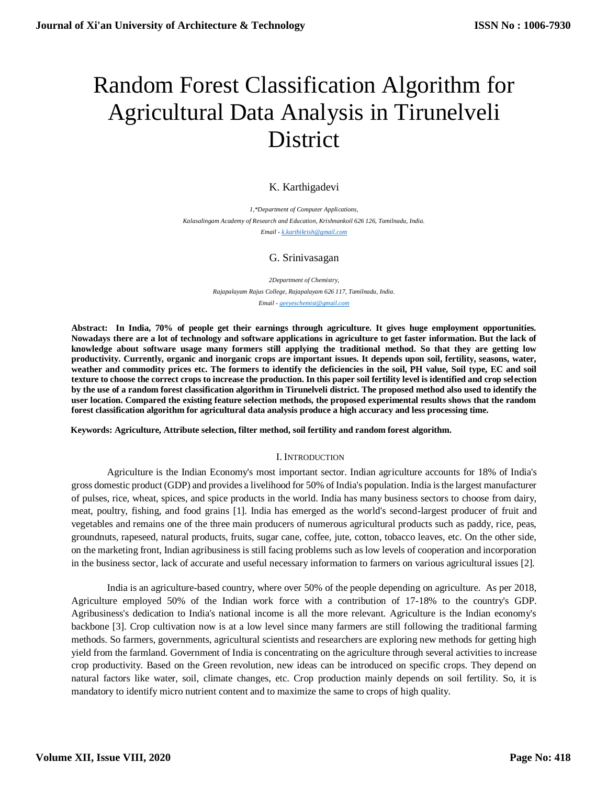# Random Forest Classification Algorithm for Agricultural Data Analysis in Tirunelveli District

## K. Karthigadevi

*1,\*Department of Computer Applications, Kalasalingam Academy of Research and Education, Krishnankoil 626 126, Tamilnadu, India. Email - [k.karthikrish@gmail.com](mailto:k.karthikrish@gmail.com)*

## G. Srinivasagan

*2Department of Chemistry, Rajapalayam Rajus College, Rajapalayam 626 117, Tamilnadu, India. Email - [geeyeschemist@gmail.com](mailto:geeyeschemist@gmail.com)*

**Abstract: In India, 70% of people get their earnings through agriculture. It gives huge employment opportunities. Nowadays there are a lot of technology and software applications in agriculture to get faster information. But the lack of knowledge about software usage many formers still applying the traditional method. So that they are getting low productivity. Currently, organic and inorganic crops are important issues. It depends upon soil, fertility, seasons, water, weather and commodity prices etc. The formers to identify the deficiencies in the soil, PH value, Soil type, EC and soil texture to choose the correct crops to increase the production. In this paper soil fertility level is identified and crop selection by the use of a random forest classification algorithm in Tirunelveli district. The proposed method also used to identify the user location. Compared the existing feature selection methods, the proposed experimental results shows that the random forest classification algorithm for agricultural data analysis produce a high accuracy and less processing time.** 

**Keywords: Agriculture, Attribute selection, filter method, soil fertility and random forest algorithm.**

## I. INTRODUCTION

Agriculture is the Indian Economy's most important sector. Indian agriculture accounts for 18% of India's gross domestic product (GDP) and provides a livelihood for 50% of India's population. India is the largest manufacturer of pulses, rice, wheat, spices, and spice products in the world. India has many business sectors to choose from dairy, meat, poultry, fishing, and food grains [1]. India has emerged as the world's second-largest producer of fruit and vegetables and remains one of the three main producers of numerous agricultural products such as paddy, rice, peas, groundnuts, rapeseed, natural products, fruits, sugar cane, coffee, jute, cotton, tobacco leaves, etc. On the other side, on the marketing front, Indian agribusiness is still facing problems such as low levels of cooperation and incorporation in the business sector, lack of accurate and useful necessary information to farmers on various agricultural issues [2].

India is an agriculture-based country, where over 50% of the people depending on agriculture. As per 2018, Agriculture employed 50% of the Indian work force with a contribution of 17-18% to the country's GDP. Agribusiness's dedication to India's national income is all the more relevant. Agriculture is the Indian economy's backbone [3]. Crop cultivation now is at a low level since many farmers are still following the traditional farming methods. So farmers, governments, agricultural scientists and researchers are exploring new methods for getting high yield from the farmland. Government of India is concentrating on the agriculture through several activities to increase crop productivity. Based on the Green revolution, new ideas can be introduced on specific crops. They depend on natural factors like water, soil, climate changes, etc. Crop production mainly depends on soil fertility. So, it is mandatory to identify micro nutrient content and to maximize the same to crops of high quality.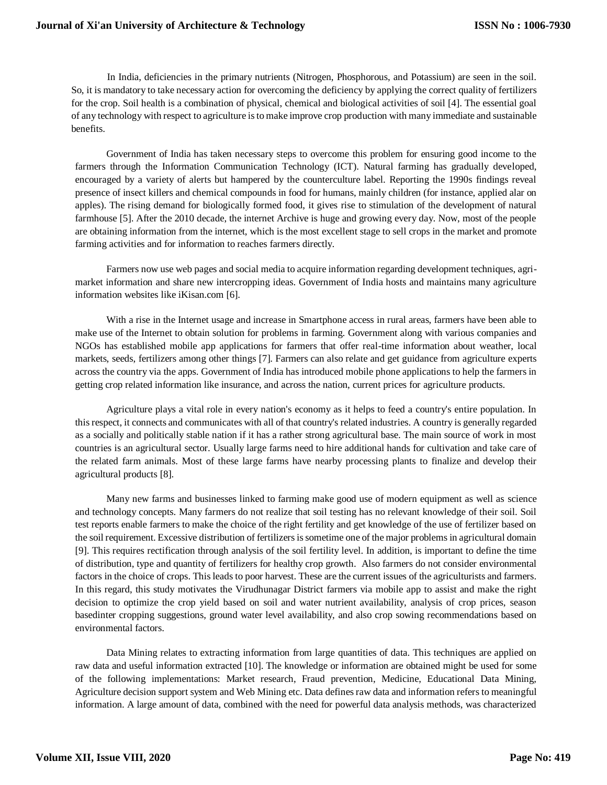In India, deficiencies in the primary nutrients (Nitrogen, Phosphorous, and Potassium) are seen in the soil. So, it is mandatory to take necessary action for overcoming the deficiency by applying the correct quality of fertilizers for the crop. Soil health is a combination of physical, chemical and biological activities of soil [4]. The essential goal of any technology with respect to agriculture is to make improve crop production with many immediate and sustainable benefits.

Government of India has taken necessary steps to overcome this problem for ensuring good income to the farmers through the Information Communication Technology (ICT). Natural farming has gradually developed, encouraged by a variety of alerts but hampered by the counterculture label. Reporting the 1990s findings reveal presence of insect killers and chemical compounds in food for humans, mainly children (for instance, applied alar on apples). The rising demand for biologically formed food, it gives rise to stimulation of the development of natural farmhouse [5]. After the 2010 decade, the internet Archive is huge and growing every day. Now, most of the people are obtaining information from the internet, which is the most excellent stage to sell crops in the market and promote farming activities and for information to reaches farmers directly.

Farmers now use web pages and social media to acquire information regarding development techniques, agrimarket information and share new intercropping ideas. Government of India hosts and maintains many agriculture information websites like iKisan.com [6].

With a rise in the Internet usage and increase in Smartphone access in rural areas, farmers have been able to make use of the Internet to obtain solution for problems in farming. Government along with various companies and NGOs has established mobile app applications for farmers that offer real-time information about weather, local markets, seeds, fertilizers among other things [7]. Farmers can also relate and get guidance from agriculture experts across the country via the apps. Government of India has introduced mobile phone applications to help the farmers in getting crop related information like insurance, and across the nation, current prices for agriculture products.

Agriculture plays a vital role in every nation's economy as it helps to feed a country's entire population. In this respect, it connects and communicates with all of that country's related industries. A country is generally regarded as a socially and politically stable nation if it has a rather strong agricultural base. The main source of work in most countries is an agricultural sector. Usually large farms need to hire additional hands for cultivation and take care of the related farm animals. Most of these large farms have nearby processing plants to finalize and develop their agricultural products [8].

Many new farms and businesses linked to farming make good use of modern equipment as well as science and technology concepts. Many farmers do not realize that soil testing has no relevant knowledge of their soil. Soil test reports enable farmers to make the choice of the right fertility and get knowledge of the use of fertilizer based on the soil requirement. Excessive distribution of fertilizers is sometime one of the major problems in agricultural domain [9]. This requires rectification through analysis of the soil fertility level. In addition, is important to define the time of distribution, type and quantity of fertilizers for healthy crop growth. Also farmers do not consider environmental factors in the choice of crops. This leads to poor harvest. These are the current issues of the agriculturists and farmers. In this regard, this study motivates the Virudhunagar District farmers via mobile app to assist and make the right decision to optimize the crop yield based on soil and water nutrient availability, analysis of crop prices, season basedinter cropping suggestions, ground water level availability, and also crop sowing recommendations based on environmental factors.

Data Mining relates to extracting information from large quantities of data. This techniques are applied on raw data and useful information extracted [10]. The knowledge or information are obtained might be used for some of the following implementations: Market research, Fraud prevention, Medicine, Educational Data Mining, Agriculture decision support system and Web Mining etc. Data defines raw data and information refers to meaningful information. A large amount of data, combined with the need for powerful data analysis methods, was characterized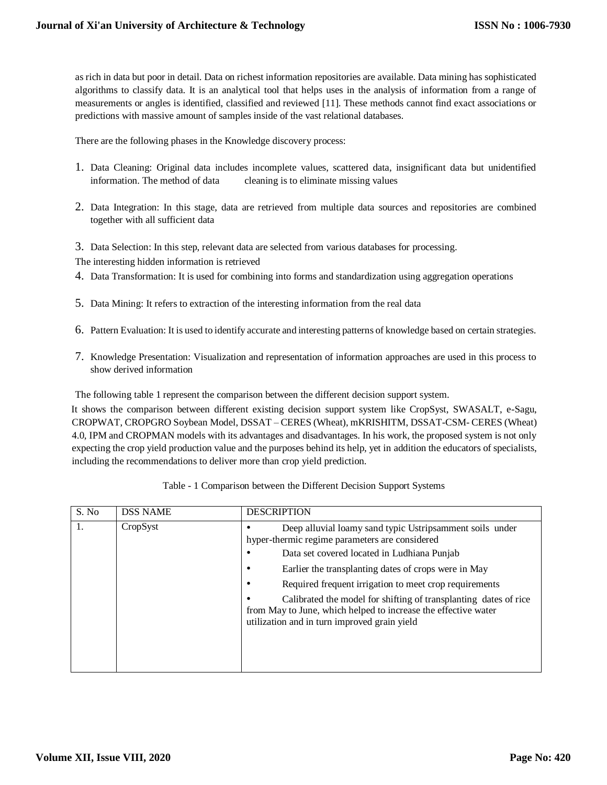as rich in data but poor in detail. Data on richest information repositories are available. Data mining has sophisticated algorithms to classify data. It is an analytical tool that helps uses in the analysis of information from a range of measurements or angles is identified, classified and reviewed [11]. These methods cannot find exact associations or predictions with massive amount of samples inside of the vast relational databases.

There are the following phases in the Knowledge discovery process:

- 1. Data Cleaning: Original data includes incomplete values, scattered data, insignificant data but unidentified information. The method of data cleaning is to eliminate missing values
- 2. Data Integration: In this stage, data are retrieved from multiple data sources and repositories are combined together with all sufficient data
- 3. Data Selection: In this step, relevant data are selected from various databases for processing.

The interesting hidden information is retrieved

- 4. Data Transformation: It is used for combining into forms and standardization using aggregation operations
- 5. Data Mining: It refers to extraction of the interesting information from the real data
- 6. Pattern Evaluation: It is used to identify accurate and interesting patterns of knowledge based on certain strategies.
- 7. Knowledge Presentation: Visualization and representation of information approaches are used in this process to show derived information

The following table 1 represent the comparison between the different decision support system.

It shows the comparison between different existing decision support system like CropSyst, SWASALT, e-Sagu, CROPWAT, CROPGRO Soybean Model, DSSAT – CERES (Wheat), mKRISHITM, DSSAT-CSM- CERES (Wheat) 4.0, IPM and CROPMAN models with its advantages and disadvantages. In his work, the proposed system is not only expecting the crop yield production value and the purposes behind its help, yet in addition the educators of specialists, including the recommendations to deliver more than crop yield prediction.

| S. No | <b>DSS NAME</b> | <b>DESCRIPTION</b>                                                                                                                                                                                                                                                                                                                                                                                                                                                                                    |
|-------|-----------------|-------------------------------------------------------------------------------------------------------------------------------------------------------------------------------------------------------------------------------------------------------------------------------------------------------------------------------------------------------------------------------------------------------------------------------------------------------------------------------------------------------|
|       | CropSyst        | Deep alluvial loamy sand typic Ustripsamment soils under<br>hyper-thermic regime parameters are considered<br>Data set covered located in Ludhiana Punjab<br>$\bullet$<br>Earlier the transplanting dates of crops were in May<br>٠<br>Required frequent irrigation to meet crop requirements<br>٠<br>Calibrated the model for shifting of transplanting dates of rice<br>$\bullet$<br>from May to June, which helped to increase the effective water<br>utilization and in turn improved grain yield |
|       |                 |                                                                                                                                                                                                                                                                                                                                                                                                                                                                                                       |

Table - 1 Comparison between the Different Decision Support Systems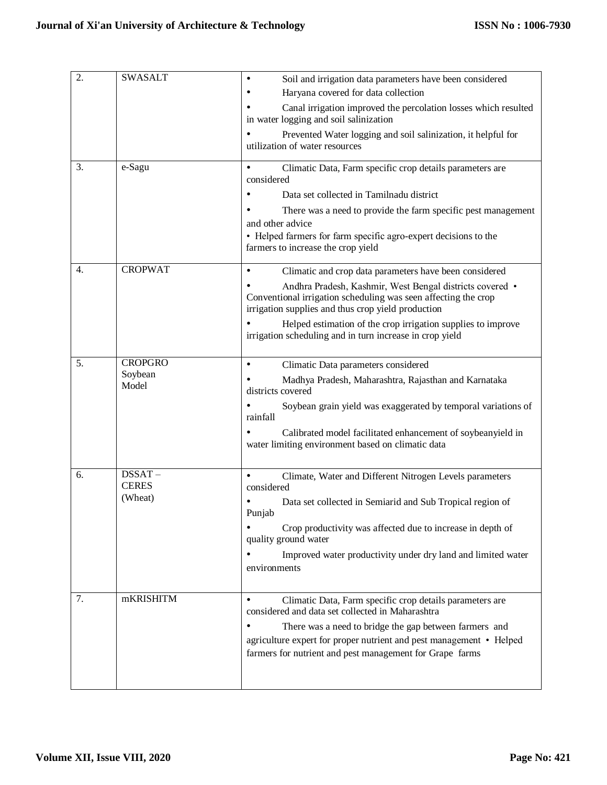| 2. | <b>SWASALT</b>            | Soil and irrigation data parameters have been considered<br>Haryana covered for data collection                                                                                           |
|----|---------------------------|-------------------------------------------------------------------------------------------------------------------------------------------------------------------------------------------|
|    |                           | Canal irrigation improved the percolation losses which resulted<br>in water logging and soil salinization                                                                                 |
|    |                           | Prevented Water logging and soil salinization, it helpful for<br>utilization of water resources                                                                                           |
| 3. | e-Sagu                    | Climatic Data, Farm specific crop details parameters are<br>considered                                                                                                                    |
|    |                           | Data set collected in Tamilnadu district                                                                                                                                                  |
|    |                           | There was a need to provide the farm specific pest management                                                                                                                             |
|    |                           | and other advice                                                                                                                                                                          |
|    |                           | • Helped farmers for farm specific agro-expert decisions to the<br>farmers to increase the crop yield                                                                                     |
| 4. | <b>CROPWAT</b>            | Climatic and crop data parameters have been considered                                                                                                                                    |
|    |                           | Andhra Pradesh, Kashmir, West Bengal districts covered .<br>Conventional irrigation scheduling was seen affecting the crop<br>irrigation supplies and thus crop yield production          |
|    |                           | Helped estimation of the crop irrigation supplies to improve<br>irrigation scheduling and in turn increase in crop yield                                                                  |
| 5. | <b>CROPGRO</b>            | Climatic Data parameters considered                                                                                                                                                       |
|    | Soybean<br>Model          | Madhya Pradesh, Maharashtra, Rajasthan and Karnataka<br>districts covered                                                                                                                 |
|    |                           | Soybean grain yield was exaggerated by temporal variations of<br>rainfall                                                                                                                 |
|    |                           | Calibrated model facilitated enhancement of soybeanyield in<br>water limiting environment based on climatic data                                                                          |
| 6. | $DSSAT -$<br><b>CERES</b> | Climate, Water and Different Nitrogen Levels parameters<br>considered                                                                                                                     |
|    | (Wheat)                   | Data set collected in Semiarid and Sub Tropical region of<br>Punjab                                                                                                                       |
|    |                           | Crop productivity was affected due to increase in depth of<br>quality ground water                                                                                                        |
|    |                           | Improved water productivity under dry land and limited water<br>environments                                                                                                              |
|    |                           |                                                                                                                                                                                           |
| 7. | mKRISHITM                 | $\bullet$<br>Climatic Data, Farm specific crop details parameters are<br>considered and data set collected in Maharashtra                                                                 |
|    |                           | There was a need to bridge the gap between farmers and<br>agriculture expert for proper nutrient and pest management • Helped<br>farmers for nutrient and pest management for Grape farms |
|    |                           |                                                                                                                                                                                           |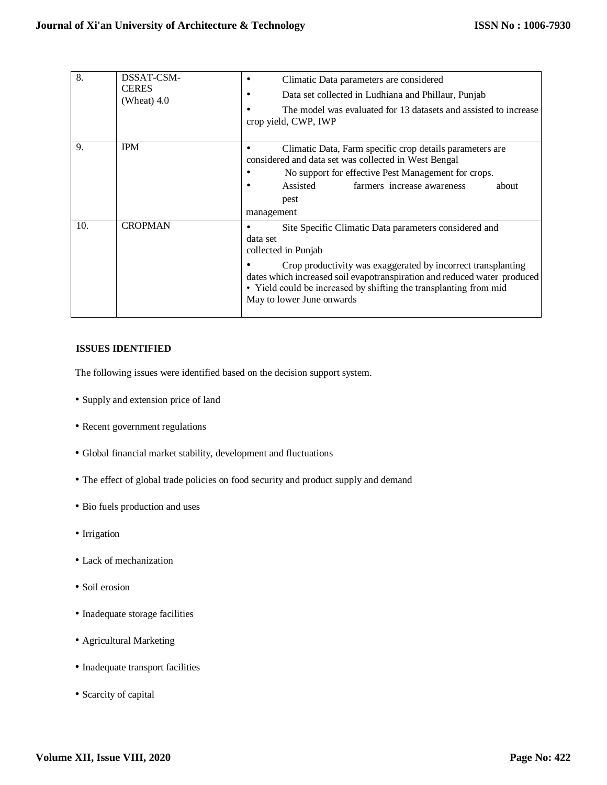| 8.  | DSSAT-CSM-<br><b>CERES</b><br>(Wheat) $4.0$ | Climatic Data parameters are considered<br>Data set collected in Ludhiana and Phillaur, Punjab<br>The model was evaluated for 13 datasets and assisted to increase<br>crop yield, CWP, IWP                                                                                                                                             |
|-----|---------------------------------------------|----------------------------------------------------------------------------------------------------------------------------------------------------------------------------------------------------------------------------------------------------------------------------------------------------------------------------------------|
| 9.  | <b>IPM</b>                                  | Climatic Data, Farm specific crop details parameters are<br>considered and data set was collected in West Bengal<br>No support for effective Pest Management for crops.<br>Assisted<br>farmers increase awareness<br>about<br>pest<br>management                                                                                       |
| 10. | <b>CROPMAN</b>                              | Site Specific Climatic Data parameters considered and<br>data set<br>collected in Punjab<br>Crop productivity was exaggerated by incorrect transplanting<br>dates which increased soil evapotranspiration and reduced water produced<br>• Yield could be increased by shifting the transplanting from mid<br>May to lower June onwards |

#### **ISSUES IDENTIFIED**

The following issues were identified based on the decision support system.

- Supply and extension price of land
- Recent government regulations
- Global financial market stability, development and fluctuations
- The effect of global trade policies on food security and product supply and demand
- Bio fuels production and uses
- Irrigation
- Lack of mechanization
- Soil erosion
- Inadequate storage facilities
- Agricultural Marketing
- Inadequate transport facilities
- Scarcity of capital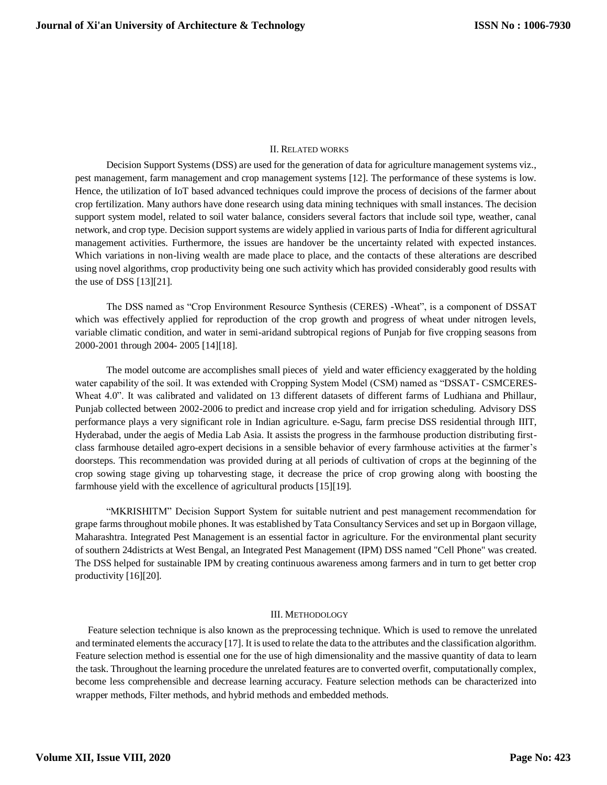#### II. RELATED WORKS

Decision Support Systems (DSS) are used for the generation of data for agriculture management systems viz., pest management, farm management and crop management systems [12]. The performance of these systems is low. Hence, the utilization of IoT based advanced techniques could improve the process of decisions of the farmer about crop fertilization. Many authors have done research using data mining techniques with small instances. The decision support system model, related to soil water balance, considers several factors that include soil type, weather, canal network, and crop type. Decision support systems are widely applied in various parts of India for different agricultural management activities. Furthermore, the issues are handover be the uncertainty related with expected instances. Which variations in non-living wealth are made place to place, and the contacts of these alterations are described using novel algorithms, crop productivity being one such activity which has provided considerably good results with the use of DSS [13][21].

The DSS named as "Crop Environment Resource Synthesis (CERES) -Wheat", is a component of DSSAT which was effectively applied for reproduction of the crop growth and progress of wheat under nitrogen levels, variable climatic condition, and water in semi-aridand subtropical regions of Punjab for five cropping seasons from 2000-2001 through 2004- 2005 [14][18].

The model outcome are accomplishes small pieces of yield and water efficiency exaggerated by the holding water capability of the soil. It was extended with Cropping System Model (CSM) named as "DSSAT- CSMCERES-Wheat 4.0". It was calibrated and validated on 13 different datasets of different farms of Ludhiana and Phillaur, Punjab collected between 2002-2006 to predict and increase crop yield and for irrigation scheduling. Advisory DSS performance plays a very significant role in Indian agriculture. e-Sagu, farm precise DSS residential through IIIT, Hyderabad, under the aegis of Media Lab Asia. It assists the progress in the farmhouse production distributing firstclass farmhouse detailed agro-expert decisions in a sensible behavior of every farmhouse activities at the farmer's doorsteps. This recommendation was provided during at all periods of cultivation of crops at the beginning of the crop sowing stage giving up toharvesting stage, it decrease the price of crop growing along with boosting the farmhouse yield with the excellence of agricultural products [15][19].

"MKRISHITM" Decision Support System for suitable nutrient and pest management recommendation for grape farms throughout mobile phones. It was established by Tata Consultancy Services and set up in Borgaon village, Maharashtra. Integrated Pest Management is an essential factor in agriculture. For the environmental plant security of southern 24districts at West Bengal, an Integrated Pest Management (IPM) DSS named "Cell Phone" was created. The DSS helped for sustainable IPM by creating continuous awareness among farmers and in turn to get better crop productivity [16][20].

#### III. METHODOLOGY

 Feature selection technique is also known as the preprocessing technique. Which is used to remove the unrelated and terminated elements the accuracy [17]. It is used to relate the data to the attributes and the classification algorithm. Feature selection method is essential one for the use of high dimensionality and the massive quantity of data to learn the task. Throughout the learning procedure the unrelated features are to converted overfit, computationally complex, become less comprehensible and decrease learning accuracy. Feature selection methods can be characterized into wrapper methods, Filter methods, and hybrid methods and embedded methods.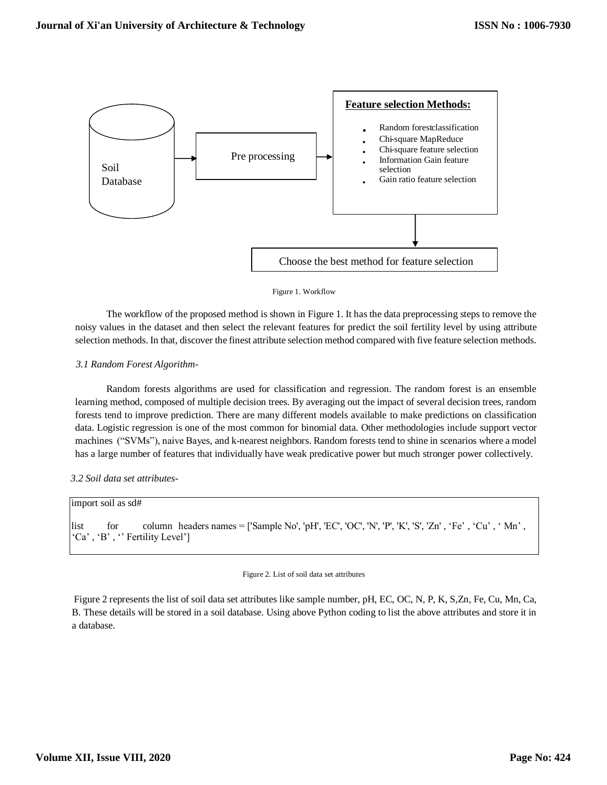

#### Figure 1. Workflow

The workflow of the proposed method is shown in Figure 1. It has the data preprocessing steps to remove the noisy values in the dataset and then select the relevant features for predict the soil fertility level by using attribute selection methods. In that, discover the finest attribute selection method compared with five feature selection methods.

#### *3.1 Random Forest Algorithm-*

Random forests algorithms are used for classification and regression. The random forest is an ensemble learning method, composed of multiple decision trees. By averaging out the impact of several decision trees, random forests tend to improve prediction. There are many different models available to make predictions on classification data. Logistic regression is one of the most common for binomial data. Other methodologies includ[e](https://medium.com/machine-learning-101/chapter-2-svm-support-vector-machine-theory-f0812effc72) support vecto[r](https://medium.com/machine-learning-101/chapter-2-svm-support-vector-machine-theory-f0812effc72) [machines](https://medium.com/machine-learning-101/chapter-2-svm-support-vector-machine-theory-f0812effc72) ("SVMs"), naive Bay[es,](https://en.wikipedia.org/wiki/Naive_Bayes_classifier) and [k-n](https://en.wikipedia.org/wiki/K-nearest_neighbors_algorithm)earest neighbo[rs.](https://en.wikipedia.org/wiki/K-nearest_neighbors_algorithm) Random forests tend to shine in scenarios where a model has a large number of features that individually have weak predicative power but much stronger power collectively.

#### *3.2 Soil data set attributes-*

|      | import soil as sd# |                                   |                                                                                                    |  |
|------|--------------------|-----------------------------------|----------------------------------------------------------------------------------------------------|--|
| list | for                | $'Ca', 'B', ''$ Fertility Level'] | column headers names = ['Sample No', 'pH', 'EC', 'OC', 'N', 'P', 'K', 'S', 'Zn', 'Fe', 'Cu', 'Mn', |  |

#### Figure 2. List of soil data set attributes

Figure 2 represents the list of soil data set attributes like sample number, pH, EC, OC, N, P, K, S,Zn, Fe, Cu, Mn, Ca, B. These details will be stored in a soil database. Using above Python coding to list the above attributes and store it in a database.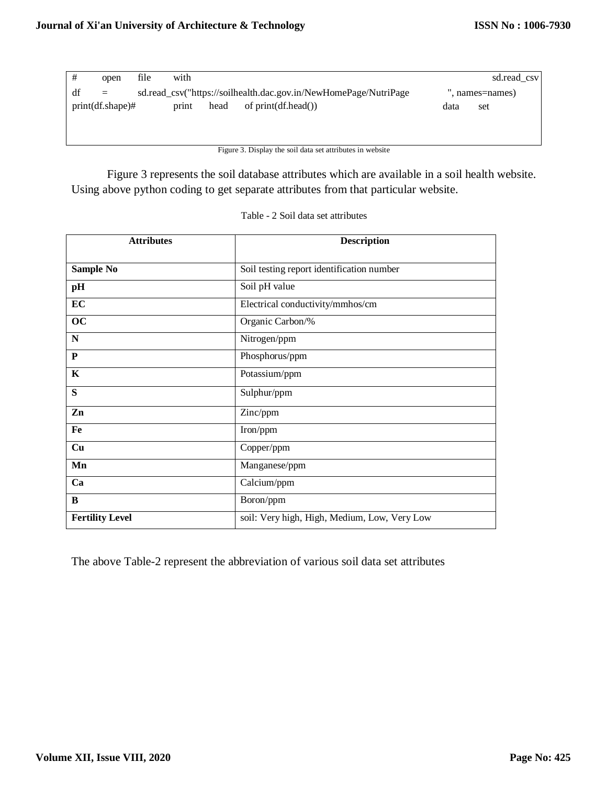| #  | open                | file | with  |      |                                                                  |      | sd.read csv     |  |
|----|---------------------|------|-------|------|------------------------------------------------------------------|------|-----------------|--|
| df | $=$                 |      |       |      | sd.read_csv("https://soilhealth.dac.gov.in/NewHomePage/NutriPage |      | ", names=names) |  |
|    | $print(df.shape)$ # |      | print | head | of $print(df.head())$                                            | data | set             |  |
|    |                     |      |       |      |                                                                  |      |                 |  |
|    |                     |      |       |      |                                                                  |      |                 |  |

Figure 3. Display the soil data set attributes in website

Figure 3 represents the soil database attributes which are available in a soil health website. Using above python coding to get separate attributes from that particular website.

| <b>Attributes</b>      | <b>Description</b>                           |
|------------------------|----------------------------------------------|
| <b>Sample No</b>       | Soil testing report identification number    |
| pH                     | Soil pH value                                |
| EC                     | Electrical conductivity/mmhos/cm             |
| oc                     | Organic Carbon/%                             |
| $\mathbf N$            | Nitrogen/ppm                                 |
| P                      | Phosphorus/ppm                               |
| $\mathbf K$            | Potassium/ppm                                |
| S                      | Sulphur/ppm                                  |
| Zn                     | Zinc/ppm                                     |
| Fe                     | Iron/ppm                                     |
| Cu                     | Copper/ppm                                   |
| Mn                     | Manganese/ppm                                |
| Ca                     | Calcium/ppm                                  |
| B                      | Boron/ppm                                    |
| <b>Fertility Level</b> | soil: Very high, High, Medium, Low, Very Low |

|  |  | Table - 2 Soil data set attributes |
|--|--|------------------------------------|
|  |  |                                    |

The above Table-2 represent the abbreviation of various soil data set attributes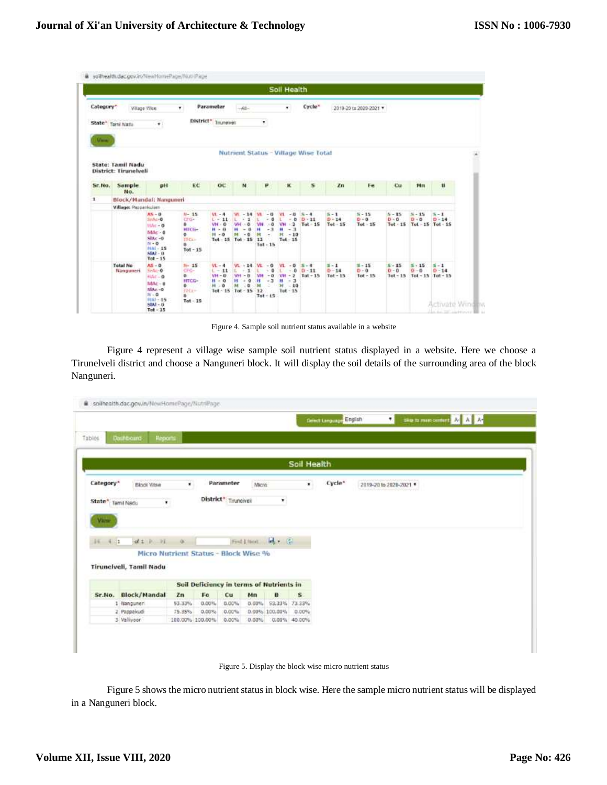|              |                                            |                                                                                                                            |                                                                                                |                                                                      |                                                                                            |                                                                                                            | Soll Health                                                                  |                                        |                                   |                                   |                     |                                                   |                                          |  |
|--------------|--------------------------------------------|----------------------------------------------------------------------------------------------------------------------------|------------------------------------------------------------------------------------------------|----------------------------------------------------------------------|--------------------------------------------------------------------------------------------|------------------------------------------------------------------------------------------------------------|------------------------------------------------------------------------------|----------------------------------------|-----------------------------------|-----------------------------------|---------------------|---------------------------------------------------|------------------------------------------|--|
| Category*    |                                            | Vilage Vilse                                                                                                               | $\bullet$                                                                                      | Parameter                                                            | $-48 -$                                                                                    |                                                                                                            | ٠                                                                            | Cycle*                                 |                                   | 2019-20 to 2020-2021 V            |                     |                                                   |                                          |  |
| $V = V$      | State* Tami Natu                           | $\bullet$                                                                                                                  |                                                                                                | District* Truneivel:                                                 |                                                                                            | ٠                                                                                                          |                                                                              |                                        |                                   |                                   |                     |                                                   |                                          |  |
|              | State: Tamil Nadu<br>District: Tirunelveli |                                                                                                                            |                                                                                                |                                                                      |                                                                                            |                                                                                                            |                                                                              | Nutrient Status - Village Wise Total   |                                   |                                   |                     |                                                   |                                          |  |
| Sr.No.       | <b>Sample</b><br>No.                       | pH                                                                                                                         | EC                                                                                             | OC                                                                   | N                                                                                          | P.                                                                                                         | ĸ                                                                            | s                                      | Zn                                | Fe                                | Cu                  | Mm                                                | B.                                       |  |
| $\mathbf{I}$ | Block/Mandal: Nanguneri                    |                                                                                                                            |                                                                                                |                                                                      |                                                                                            |                                                                                                            |                                                                              |                                        |                                   |                                   |                     |                                                   |                                          |  |
|              | <b>Village: Pappankulam</b>                |                                                                                                                            |                                                                                                |                                                                      |                                                                                            |                                                                                                            |                                                                              |                                        |                                   |                                   |                     |                                                   |                                          |  |
|              |                                            | $85 - 8$<br>SeAc-0<br>$10\text{hc} - \theta$<br>$MAC - 0$<br>$SLC - 0$<br>N + B<br>$HNI - 15$<br>$SL(1 - 1)$<br>$Tot - 15$ | $N - 15$<br>ChGa-<br>0<br><b>HTCG-</b><br>$^{\circ}$<br><b>TYCA</b><br><b>DO</b><br>$Tot - 15$ | $VI - 4$<br>$L = 11$<br>$VH - G$<br>$H - H$<br>$H - 0$<br>$Tot-15$   | w<br>$-14$<br>×<br>1<br>w<br>õ<br>$\alpha$<br>н<br>m<br>$-0$<br>$Tot - 15$                 | $-13$<br>$-8$<br>$\ddot{\text{o}}$<br>и<br>$-31$<br>純<br>×<br>12<br>$Tot - 15$                             | w<br>$-10$<br>$-0$<br><b>VN</b><br>$-1$<br>$H - 10$<br>$Tot-15$              | $5 - 4$<br>$D - 11$<br>$-2$ Tut 15     | $8 - 1$<br>$D - 14$<br>$Tol-15$   | $5 - 15$<br>$D = 0$<br>$Tod - 15$ | $8 - 15$<br>$D - D$ | $S - 15$<br>$D - D$<br>Tot 15 Tot 15 Tot 15       | $S - I$<br>$D - 14$                      |  |
|              | <b>Total No</b><br>Nangument               | $MS - D$<br>Selector<br>$HAC = 0$<br>$MML - D$<br>$SLAr - 0$<br>$16 - 0$<br>$ithl - 15$<br>$SL(1 - 1)$<br>$Tot - 15$       | $18 - 15$<br>CFG-<br>$0$ .<br>HTCG-<br>n.<br>EFER-<br>n<br>$Tot-15$                            | $VL - 4$<br>$1 - 11$<br>$VH - D$<br>$H - 0$<br>$H - 0$<br>$Tot - 15$ | $14 - 20$<br>t.<br>1.<br>$\sim$<br><b>VH</b><br>- 8<br>$\frac{1}{2}$<br>и<br>M<br>$Tot-15$ | W.<br>$-9$<br>$-0$<br>ĸ.<br>$-0$<br>VH <sub>1</sub><br>$-3$<br>Ħ<br>M<br>s<br>$\frac{1}{12}$<br>$Tot - 15$ | VL.<br>$-9$<br>$-0$<br>x.<br>$VH - 2$<br>$-3$<br>н<br>$H = 10$<br>$Tut - 15$ | $3 - 4$<br>$0 - 11$<br>T <sub>15</sub> | $5 - 1$<br>$D - 14$<br>$Tat - 15$ | $8 - 15$<br>$D - 0$<br>$Tot - 15$ | $8 - 15$<br>$0 - 0$ | $5 - 15$<br>$0 - 0$<br>Tot - 15 Tot - 15 Tot - 15 | $S - 1$<br>$D - 14$<br>Activate Wind Iv. |  |

Figure 4. Sample soil nutrient status available in a website

Figure 4 represent a village wise sample soil nutrient status displayed in a website. Here we choose a Tirunelveli district and choose a Nanguneri block. It will display the soil details of the surrounding area of the block Nanguneri.

|                                            |                                                                                       |                           |                                          |                                  |       |                        |                       | <b>Genet Language</b> English | $\pmb{\tau}$          | Seamnesonne & X X |  |
|--------------------------------------------|---------------------------------------------------------------------------------------|---------------------------|------------------------------------------|----------------------------------|-------|------------------------|-----------------------|-------------------------------|-----------------------|-------------------|--|
| Tables                                     | <b>Dashboard</b><br>Reports                                                           |                           |                                          |                                  |       |                        |                       |                               |                       |                   |  |
|                                            |                                                                                       |                           |                                          |                                  |       |                        | Soil Health           |                               |                       |                   |  |
| Category*                                  | Black Visa                                                                            | ٠.                        |                                          | Parameter<br>District* Truneivei | Miero | $\star$                | ٠.                    | Cycle*                        | 2019-2016 2020-2021 * |                   |  |
| State* Tamil Nadu<br>View<br>$-4/12$<br>34 | ٠<br>$d1 - 21 - 0$<br>Micro Nutrient Status - Block Wise %<br>Tirunciveli, Tamil Nadu |                           |                                          |                                  |       | Find Lincoln, and Call |                       |                               |                       |                   |  |
|                                            |                                                                                       |                           | Soil Deficiency in terms of Nutrients in |                                  |       |                        |                       |                               |                       |                   |  |
|                                            | Sr.No. Block/Mandal                                                                   | Zn                        | Fe                                       | Cu                               | Mn    | B                      | s                     |                               |                       |                   |  |
|                                            | 1 Nanguner                                                                            | 53.33%                    | 0.00%                                    | 0.00%                            | 0.00% |                        | 93.33% 73.33%         |                               |                       |                   |  |
|                                            | 2 Pappakud<br>3 Vallivoor                                                             | 75.35%<br>100.00% 100.00% | 0.00%                                    | $0.00\%$<br>0.00%                | 0.00% | 0.00% 100.00%          | 0.00%<br>0.00% 49.00% |                               |                       |                   |  |

Figure 5. Display the block wise micro nutrient status

Figure 5 shows the micro nutrient status in block wise. Here the sample micro nutrient status will be displayed in a Nanguneri block.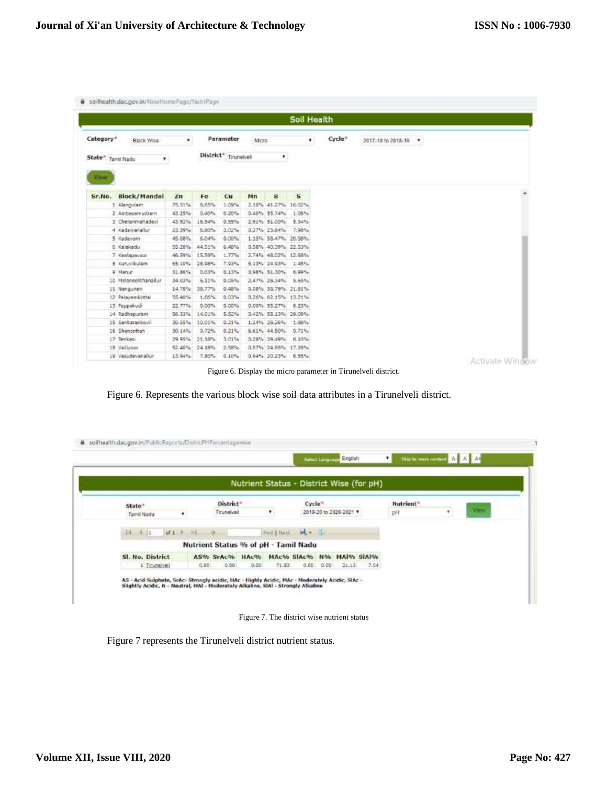|                   |                      |        |        |                       |        |                     | Soil Health             |        |                      |  |
|-------------------|----------------------|--------|--------|-----------------------|--------|---------------------|-------------------------|--------|----------------------|--|
| Category*         | Black Wise           | ۷.     |        | Parameter             | Micro- |                     | ٠                       | Cycle* | 2017-18 to 2018-19 . |  |
| State" Tamil Nadu | ۳                    |        |        | District* Tinunelvell |        | ٠                   |                         |        |                      |  |
| VWW.              |                      |        |        |                       |        |                     |                         |        |                      |  |
| Sr.No.            | Block/Mandal         | Zn     | Fe     | Cu                    | Mn     | B                   | $\overline{\mathbf{s}}$ |        |                      |  |
|                   | 1 Alenguiam          | 75.51% | 化系统    | 1.09%                 |        | 2.10% 41.27% 16.02% |                         |        |                      |  |
|                   | 2 Ambessmudram       | 45.25% | 0.40%  | 0.20%                 |        | 0.40% 55.74%        | 1.06%                   |        |                      |  |
|                   | 3 Cheranmahadevi     | 43.92% | 16.54% | 0.55%                 |        | 2.91% 51.00%        | 5.34%                   |        |                      |  |
|                   | 4 Kadaiyanaflur      | 23.39% | 6,80%  | 3.02%                 |        | 0.27% 23.84%        | 7.98%                   |        |                      |  |
|                   | 5 Kadavom            | 45.08% | 6.04%  | $0.00\%$              |        | 1.15% 58.47% 20.58% |                         |        |                      |  |
|                   | 6 Kalakadu           | 55.28% | 44.51% | 6.40%                 |        | 0.58% 40.39% 22.53% |                         |        |                      |  |
|                   | 7 Keelapavoor        | 46.59% | 15.59% | 1.77%                 |        | 2.74% 48.02% 12.68% |                         |        |                      |  |
|                   | 8 Kurtuvilcularn     | 55.10% | 28.98% | 7.93%                 |        | 5.13% 24.93%        | 1.45%                   |        |                      |  |
|                   | 9 Manur              | 31.36% | 0.03%  | 0.13%                 |        | 0.98% 51.30%        | 6.99%                   |        |                      |  |
|                   | 10 Helaneelthanallur | 34.03% | 6.11%  | 0.05%                 |        | 2.47% 28.34%        | 5.65%                   |        |                      |  |
|                   | 11 Nangunen          | 14.78% | 38,77% | 0.48%                 |        | 0.08% 53.79% 21.81% |                         |        |                      |  |
|                   | 12 Palayemicotta     | 55.40% | 1.66%  | 0.03%                 |        | 0.26% 62.15% 13.21% |                         |        |                      |  |
|                   | 13 Pappakudi         | 22.77% | 0.00%  | 0.00%                 |        | 0.00% 55.27%        | 6.23%                   |        |                      |  |
|                   | 14 Radhapuram        | 56.33% | 14.01% | 5.52%                 |        | 0.42% 55.13% 29.09% |                         |        |                      |  |
|                   | 15 Sankarankovil     | 30.55% | 10.01% | 0.21%                 |        | 1.24% 28.26%        | 1.88%                   |        |                      |  |
|                   | 16 Shencottah        | 30.14% | 9.72%  | 0.21%                 |        | 6.61% 44.50%        | 9.71%                   |        |                      |  |
|                   | 17 Tenkas            | 29.95% | 21.18% | 3.01%                 |        | 0.28% 39.49%        | 8.10%                   |        |                      |  |
|                   | 18 Vallypor          | 52.40% | 24.18% | 2.58%                 |        | 0.57% 24.95% 17.28% |                         |        |                      |  |

Figure 6. Display the micro parameter in Tirunelveli district.

Figure 6. Represents the various block wise soil data attributes in a Tirunelveli district.

|                  |                  |                                         |      |       |                        |             |                        | Nutrient Status - District Wise (for pH) |           |   |      |
|------------------|------------------|-----------------------------------------|------|-------|------------------------|-------------|------------------------|------------------------------------------|-----------|---|------|
| State*           |                  | District <sup>*</sup>                   |      |       | Cycle*                 |             |                        |                                          | Nutrient* |   |      |
| Tarnil Nadu      | ٠                | Tiruneiveil                             |      | ٠     |                        |             | 2019-20 to 2020-2021 * |                                          | pH        | ٠ | View |
| $14 - 4 - 1$     | $0$ $14$ $1$ $1$ |                                         |      |       | Find   Nord   M. C. T. |             |                        |                                          |           |   |      |
|                  |                  | Nutrient Status % of pH - Tamil Nadu    |      |       |                        |             |                        |                                          |           |   |      |
| Sl. No. District |                  | AS% SrAc% HAc% MAc% SlAc% N% MAI% SIAI% |      |       |                        |             |                        |                                          |           |   |      |
| 1 Tinuneiveli    | 0.00             | 0.00                                    | 0.00 | 71.83 |                        | 0.00, 0.00. | 21.13                  | 7.04                                     |           |   |      |

Figure 7. The district wise nutrient status

Figure 7 represents the Tirunelveli district nutrient status.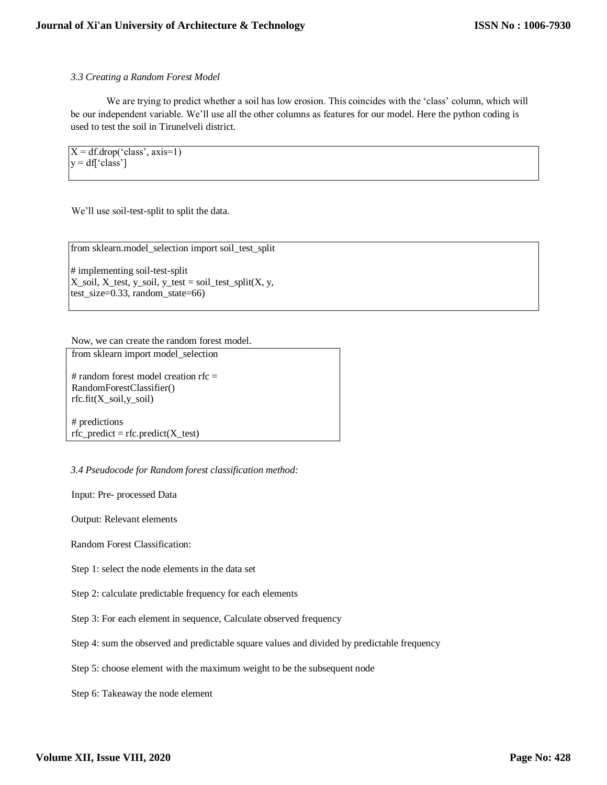## *3.3 Creating a Random Forest Model*

We are trying to predict whether a soil has low erosion. This coincides with the 'class' column, which will be our independent variable. We'll use all the other columns as features for our model. Here the python coding is used to test the soil in Tirunelveli district.

 $X = df.drop('class', axis=1)$  $y = df' class'$ 

We'll use soil-test-split to split the data.

```
from sklearn.model_selection import soil_test_split
```
# implementing soil-test-split  $X$ \_soil,  $X$ \_test,  $y$ \_soil,  $y$ \_test = soil\_test\_split $(X, y, y)$ test\_size=0.33, random\_state=66)

Now, we can create the random forest model.

from sklearn import model\_selection

# random forest model creation rfc = RandomForestClassifier()  $rfc.fit(X\_soil,y\_soil)$ 

# predictions  $rfc\_predict = rfc.predict(X_test)$ 

*3.4 Pseudocode for Random forest classification method:* 

Input: Pre- processed Data

Output: Relevant elements

Random Forest Classification:

Step 1: select the node elements in the data set

Step 2: calculate predictable frequency for each elements

Step 3: For each element in sequence, Calculate observed frequency

Step 4: sum the observed and predictable square values and divided by predictable frequency

Step 5: choose element with the maximum weight to be the subsequent node

Step 6: Takeaway the node element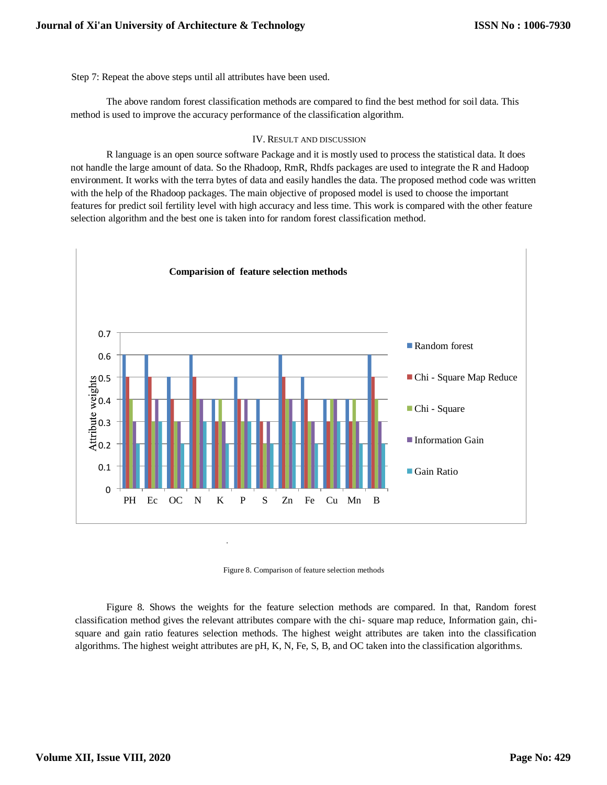Step 7: Repeat the above steps until all attributes have been used.

The above random forest classification methods are compared to find the best method for soil data. This method is used to improve the accuracy performance of the classification algorithm.

#### IV. RESULT AND DISCUSSION

R language is an open source software Package and it is mostly used to process the statistical data. It does not handle the large amount of data. So the Rhadoop, RmR, Rhdfs packages are used to integrate the R and Hadoop environment. It works with the terra bytes of data and easily handles the data. The proposed method code was written with the help of the Rhadoop packages. The main objective of proposed model is used to choose the important features for predict soil fertility level with high accuracy and less time. This work is compared with the other feature selection algorithm and the best one is taken into for random forest classification method.



Figure 8. Comparison of feature selection methods

Figure 8. Shows the weights for the feature selection methods are compared. In that, Random forest classification method gives the relevant attributes compare with the chi- square map reduce, Information gain, chisquare and gain ratio features selection methods. The highest weight attributes are taken into the classification algorithms. The highest weight attributes are pH, K, N, Fe, S, B, and OC taken into the classification algorithms.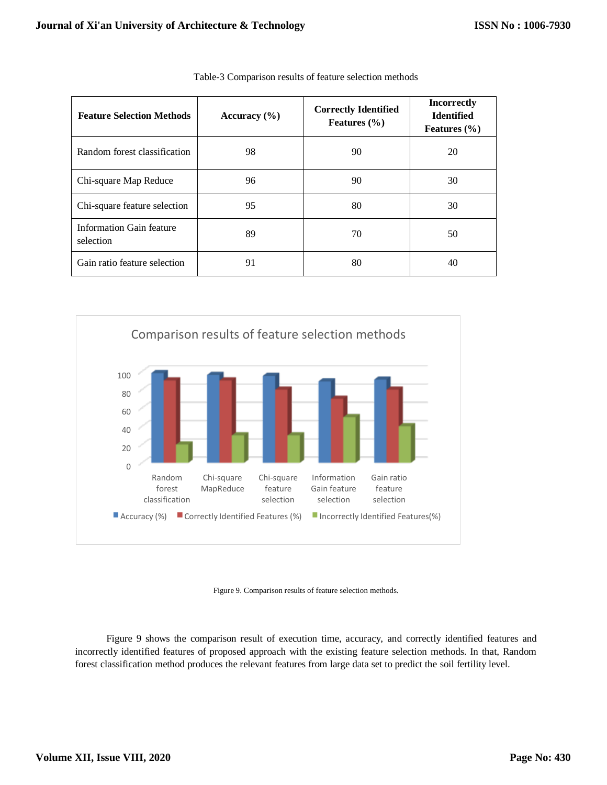| <b>Feature Selection Methods</b>      | Accuracy $(\% )$ | <b>Correctly Identified</b><br>Features $(\% )$ | <b>Incorrectly</b><br><b>Identified</b><br>Features $(\% )$ |
|---------------------------------------|------------------|-------------------------------------------------|-------------------------------------------------------------|
| Random forest classification          | 98               | 90                                              | 20                                                          |
| Chi-square Map Reduce                 | 96               | 90                                              | 30                                                          |
| Chi-square feature selection          | 95               | 80                                              | 30                                                          |
| Information Gain feature<br>selection | 89               | 70                                              | 50                                                          |
| Gain ratio feature selection          | 91               | 80                                              | 40                                                          |

| Table-3 Comparison results of feature selection methods |  |  |
|---------------------------------------------------------|--|--|
|---------------------------------------------------------|--|--|



Figure 9. Comparison results of feature selection methods.

Figure 9 shows the comparison result of execution time, accuracy, and correctly identified features and incorrectly identified features of proposed approach with the existing feature selection methods. In that, Random forest classification method produces the relevant features from large data set to predict the soil fertility level.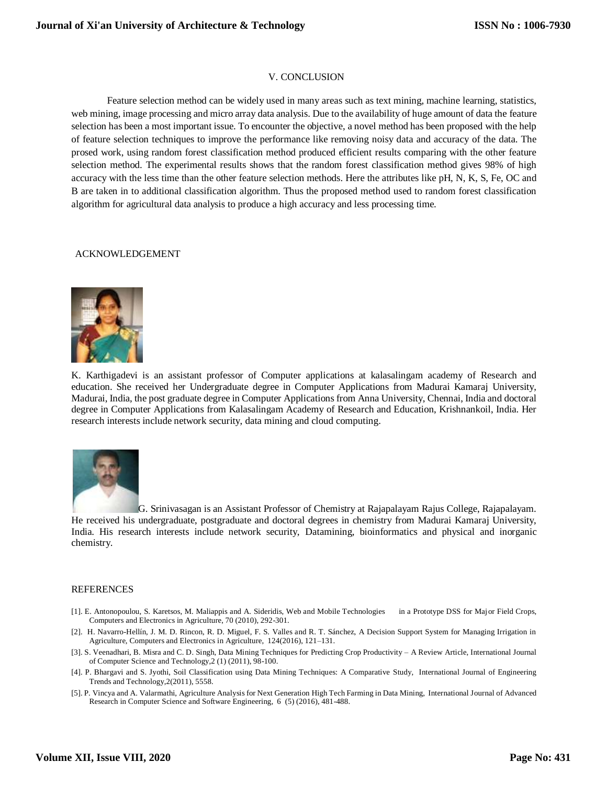#### V. CONCLUSION

Feature selection method can be widely used in many areas such as text mining, machine learning, statistics, web mining, image processing and micro array data analysis. Due to the availability of huge amount of data the feature selection has been a most important issue. To encounter the objective, a novel method has been proposed with the help of feature selection techniques to improve the performance like removing noisy data and accuracy of the data. The prosed work, using random forest classification method produced efficient results comparing with the other feature selection method. The experimental results shows that the random forest classification method gives 98% of high accuracy with the less time than the other feature selection methods. Here the attributes like pH, N, K, S, Fe, OC and B are taken in to additional classification algorithm. Thus the proposed method used to random forest classification algorithm for agricultural data analysis to produce a high accuracy and less processing time.

#### ACKNOWLEDGEMENT



K. Karthigadevi is an assistant professor of Computer applications at kalasalingam academy of Research and education. She received her Undergraduate degree in Computer Applications from Madurai Kamaraj University, Madurai, India, the post graduate degree in Computer Applications from Anna University, Chennai, India and doctoral degree in Computer Applications from Kalasalingam Academy of Research and Education, Krishnankoil, India. Her research interests include network security, data mining and cloud computing.



G. Srinivasagan is an Assistant Professor of Chemistry at Rajapalayam Rajus College, Rajapalayam. He received his undergraduate, postgraduate and doctoral degrees in chemistry from Madurai Kamaraj University, India. His research interests include network security, Datamining, bioinformatics and physical and inorganic chemistry.

#### REFERENCES

- [1]. E. Antonopoulou, S. Karetsos, M. Maliappis and A. Sideridis, Web and Mobile Technologies in a Prototype DSS for Major Field Crops, Computers and Electronics in Agriculture, 70 (2010), 292-301.
- [2]. H. Navarro-Hellín, J. M. D. Rincon, R. D. Miguel, F. S. Valles and R. T. Sánchez, A Decision Support System for Managing Irrigation in Agriculture, Computers and Electronics in Agriculture, 124(2016), 121–131.
- [3]. S. Veenadhari, B. Misra and C. D. Singh, Data Mining Techniques for Predicting Crop Productivity A Review Article, International Journal of Computer Science and Technology,2 (1) (2011), 98-100.
- [4]. P. Bhargavi and S. Jyothi, Soil Classification using Data Mining Techniques: A Comparative Study, International Journal of Engineering Trends and Technology,2(2011), 5558.
- [5]. P. Vincya and A. Valarmathi, Agriculture Analysis for Next Generation High Tech Farming in Data Mining, International Journal of Advanced Research in Computer Science and Software Engineering, 6 (5) (2016), 481-488.